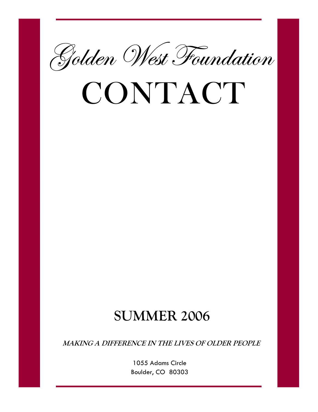

# CONTACT

# **SUMMER 2006**

**MAKING A DIFFERENCE IN THE LIVES OF OLDER PEOPLE** 

1055 Adams Circle Boulder, CO 80303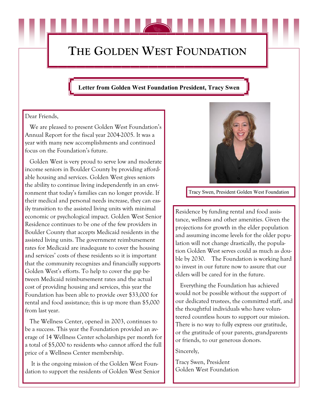# **THE GOLDEN WEST FOUNDATION**

# **Letter from Golden West Foundation President, Tracy Swen**

## Dear Friends,

 We are pleased to present Golden West Foundation's Annual Report for the fiscal year 2004-2005. It was a year with many new accomplishments and continued focus on the Foundation's future.

 Golden West is very proud to serve low and moderate income seniors in Boulder County by providing affordable housing and services. Golden West gives seniors the ability to continue living independently in an environment that today's families can no longer provide. If their medical and personal needs increase, they can easily transition to the assisted living units with minimal economic or psychological impact. Golden West Senior Residence continues to be one of the few providers in Boulder County that accepts Medicaid residents in the assisted living units. The government reimbursement rates for Medicaid are inadequate to cover the housing and services' costs of these residents so it is important that the community recognizes and financially supports Golden West's efforts. To help to cover the gap between Medicaid reimbursement rates and the actual cost of providing housing and services, this year the Foundation has been able to provide over \$33,000 for rental and food assistance; this is up more than \$5,000 from last year.

 The Wellness Center, opened in 2003, continues to be a success. This year the Foundation provided an average of 14 Wellness Center scholarships per month for a total of \$5,000 to residents who cannot afford the full price of a Wellness Center membership.

 It is the ongoing mission of the Golden West Foundation to support the residents of Golden West Senior



Tracy Swen, President Golden West Foundation

Residence by funding rental and food assistance, wellness and other amenities. Given the projections for growth in the elder population and assuming income levels for the older population will not change drastically, the population Golden West serves could as much as double by 2030. The Foundation is working hard to invest in our future now to assure that our elders will be cared for in the future.

 Everything the Foundation has achieved would not be possible without the support of our dedicated trustees, the committed staff, and the thoughtful individuals who have volunteered countless hours to support our mission. There is no way to fully express our gratitude, or the gratitude of your parents, grandparents or friends, to our generous donors.

Sincerely,

Tracy Swen, President Golden West Foundation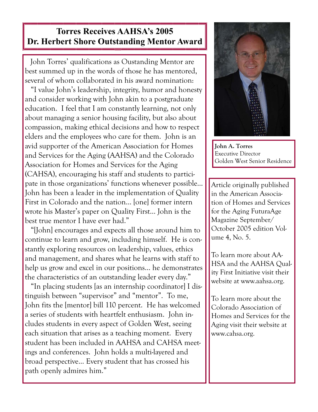# **Torres Receives AAHSA's 2005 Dr. Herbert Shore Outstanding Mentor Award**

 John Torres' qualifications as Oustanding Mentor are best summed up in the words of those he has mentored, several of whom collaborated in his award nomination:

 "I value John's leadership, integrity, humor and honesty and consider working with John akin to a postgraduate education. I feel that I am constantly learning, not only about managing a senior housing facility, but also about compassion, making ethical decisions and how to respect elders and the employees who care for them. John is an avid supporter of the American Association for Homes and Services for the Aging (AAHSA) and the Colorado Association for Homes and Services for the Aging (CAHSA), encouraging his staff and students to participate in those organizations' functions whenever possible… John has been a leader in the implementation of Quality First in Colorado and the nation… [one] former intern wrote his Master's paper on Quality First… John is the best true mentor I have ever had."

 "[John] encourages and expects all those around him to continue to learn and grow, including himself. He is constantly exploring resources on leadership, values, ethics and management, and shares what he learns with staff to help us grow and excel in our positions… he demonstrates the characteristics of an outstanding leader every day."

 "In placing students [as an internship coordinator] I distinguish between "supervisor" and "mentor". To me, John fits the [mentor] bill 110 percent. He has welcomed a series of students with heartfelt enthusiasm. John includes students in every aspect of Golden West, seeing each situation that arises as a teaching moment. Every student has been included in AAHSA and CAHSA meetings and conferences. John holds a multi-layered and broad perspective… Every student that has crossed his path openly admires him."



**John A. Torres**  Executive Director Golden West Senior Residence

Article originally published in the American Association of Homes and Services for the Aging FuturaAge Magazine September/ October 2005 edition Volume 4, No. 5.

To learn more about AA-HSA and the AAHSA Quality First Initiative visit their website at www.aahsa.org.

To learn more about the Colorado Association of Homes and Services for the Aging visit their website at www.cahsa.org.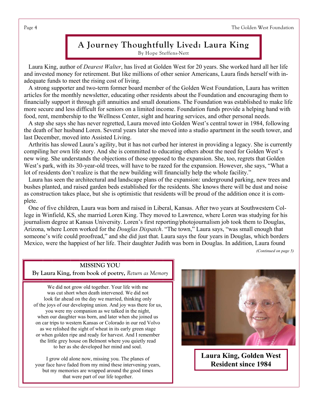# **A Journey Thoughtfully Lived: Laura King**  By Hope Steffens-Nett

 Laura King, author of *Dearest Walter*, has lived at Golden West for 20 years. She worked hard all her life and invested money for retirement. But like millions of other senior Americans, Laura finds herself with inadequate funds to meet the rising cost of living.

 A strong supporter and two-term former board member of the Golden West Foundation, Laura has written articles for the monthly newsletter, educating other residents about the Foundation and encouraging them to financially support it through gift annuities and small donations. The Foundation was established to make life more secure and less difficult for seniors on a limited income. Foundation funds provide a helping hand with food, rent, membership to the Wellness Center, sight and hearing services, and other personal needs.

 A step she says she has never regretted, Laura moved into Golden West's central tower in 1984, following the death of her husband Loren. Several years later she moved into a studio apartment in the south tower, and last December, moved into Assisted Living.

 Arthritis has slowed Laura's agility, but it has not curbed her interest in providing a legacy. She is currently compiling her own life story. And she is committed to educating others about the need for Golden West's new wing. She understands the objections of those opposed to the expansion. She, too, regrets that Golden West's park, with its 30-year-old trees, will have to be razed for the expansion. However, she says, "What a lot of residents don't realize is that the new building will financially help the whole facility."

 Laura has seen the architectural and landscape plans of the expansion: underground parking, new trees and bushes planted, and raised garden beds established for the residents. She knows there will be dust and noise as construction takes place, but she is optimistic that residents will be proud of the addition once it is complete.

 One of five children, Laura was born and raised in Liberal, Kansas. After two years at Southwestern College in Winfield, KS, she married Loren King. They moved to Lawrence, where Loren was studying for his journalism degree at Kansas University. Loren's first reporting/photojournalism job took them to Douglas, Arizona, where Loren worked for the *Douglas Dispatch*. "The town," Laura says, "was small enough that someone's wife could proofread," and she did just that. Laura says the four years in Douglas, which borders Mexico, were the happiest of her life. Their daughter Judith was born in Douglas. In addition, Laura found

*(Continued on page 5)* 

# **MISSING YOU**

**By Laura King, from book of poetry,** *Return as Memory*

We did not grow old together. Your life with me was cut short when death intervened. We did not look far ahead on the day we married, thinking only of the joys of our developing union. And joy was there for us, you were my companion as we talked in the night, when our daughter was born, and later when she joined us on car trips to western Kansas or Colorado in our red Volvo as we relished the sight of wheat in its early green stage or when golden ripe and ready for harvest. And I remember the little grey house on Belmont where you quietly read to her as she developed her mind and soul.

I grow old alone now, missing you. The planes of your face have faded from my mind these intervening years, but my memories are wrapped around the good times that were part of our life together.



**Laura King, Golden West Resident since 1984**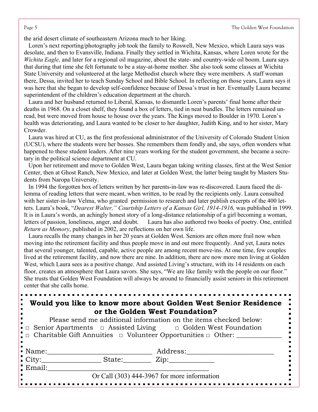Page 5 The Golden West Foundation

the arid desert climate of southeastern Arizona much to her liking.

 Loren's next reporting/photography job took the family to Roswell, New Mexico, which Laura says was desolate, and then to Evansville, Indiana. Finally they settled in Wichita, Kansas, where Loren wrote for the *Wichita Eagle,* and later for a regional oil magazine, about the state- and country-wide oil boom. Laura says that during that time she felt fortunate to be a stay-at-home mother. She also took some classes at Wichita State University and volunteered at the large Methodist church where they were members. A staff woman there, Dessa, invited her to teach Sunday School and Bible School. In reflecting on those years, Laura says it was here that she began to develop self-confidence because of Dessa's trust in her. Eventually Laura became superintendent of the children's education department at the church.

 Laura and her husband returned to Liberal, Kansas, to dismantle Loren's parents' final home after their deaths in 1968. On a closet shelf, they found a box of letters, tied in neat bundles. The letters remained unread, but were moved from house to house over the years. The Kings moved to Boulder in 1970. Loren's health was deteriorating, and Laura wanted to be closer to her daughter, Judith King, and to her sister, Mary Crowder.

 Laura was hired at CU, as the first professional administrator of the University of Colorado Student Union (UCSU), where the students were her bosses. She remembers them fondly and, she says, often wonders what happened to these student leaders. After nine years working for the student government, she became a secretary in the political science department at CU.

 Upon her retirement and move to Golden West, Laura began taking writing classes, first at the West Senior Center, then at Ghost Ranch, New Mexico, and later at Golden West, the latter being taught by Masters Students from Naropa University.

 In 1994 the forgotten box of letters written by her parents-in-law was re-discovered. Laura faced the dilemma of reading letters that were meant, when written, to be read by the recipients only. Laura consulted with her sister-in-law Velma, who granted permission to research and later publish excerpts of the 400 letters. Laura's book, "*Dearest Walter," Courtship Letters of a Kansas Girl, 1914-1916*, was published in 1999. It is in Laura's words, an achingly honest story of a long-distance relationship of a girl becoming a woman, letters of passion, loneliness, anger, and doubt. Laura has also authored two books of poetry. One, entitled *Return as Memory*, published in 2002, are reflections on her own life.

 Laura recalls the many changes in her 20 years at Golden West. Seniors are often more frail now when moving into the retirement facility and thus people move in and out more frequently. And yet, Laura notes that several younger, talented, capable, active people are among recent move-ins. At one time, few couples lived at the retirement facility, and now there are nine. In addition, there are now more men living at Golden West, which Laura sees as a positive change. And assisted Living's structure, with its 14 residents on each floor, creates an atmosphere that Laura savors. She says, "We are like family with the people on our floor." She trusts that Golden West Foundation will always be around to financially assist seniors in this retirement center that she calls home.

| Would you like to know more about Golden West Senior Residence                                                                                                          |
|-------------------------------------------------------------------------------------------------------------------------------------------------------------------------|
|                                                                                                                                                                         |
| or the Golden West Foundation?                                                                                                                                          |
| $\mathbf{D1}$ , and a set of $\mathbf{A}$ and $\mathbf{A}$ is the $\mathbf{C}$ connection of the set of $\mathbf{A}$ and $\mathbf{A}$ and $\mathbf{A}$ and $\mathbf{A}$ |

Please send me additional information on the items checked below: □ Senior Apartments □ Assisted Living □ Golden West Foundation  $\Box$  Charitable Gift Annuities  $\Box$  Volunteer Opportunities  $\Box$  Other:

| • Name:                          | Address: |                                             |
|----------------------------------|----------|---------------------------------------------|
| $\overline{\phantom{a}}$ City    | State:   | Zip.                                        |
| $\blacksquare$ Email:            |          |                                             |
| $\blacksquare$<br>$\blacksquare$ |          | Or Call (303) 444-3967 for more information |
|                                  |          |                                             |

 $\blacksquare$  $\blacksquare$  $\blacksquare$ p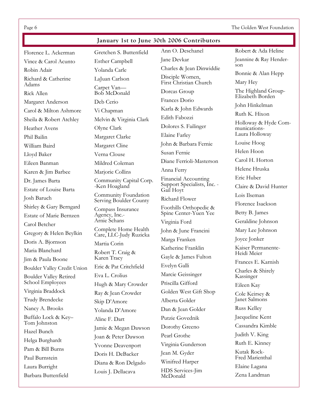Page 6 The Golden West Foundation

# **January 1st to December 31st 2006 Contributors January 1st to June 30th 2006 Contributors**

Florence L. Ackerman Vince & Carol Acunto Robin Adair Richard & Catherine Adams Rick Allen Margaret Anderson Carol & Milton Ashmore Sheila & Robert Atchley Heather Avens Phil Bailin William Baird Lloyd Baker Eileen Banman Karen & Jim Barbee Dr. James Barta Estate of Louise Barta Josh Baruch Shirley & Gary Berngard Estate of Marie Bernzen Carol Betcher Gregory & Helen Beylkin Doris A. Bjornson Maria Blanchard Jim & Paula Boone Boulder Valley Credit Union Boulder Valley Retired School Employees Virginia Braddock Trudy Brendecke Nancy A. Brooks Buffalo Lock & Key– Tom Johnston Hazel Bunch Helga Burghardt Pam & Bill Burns Paul Burnstein Laura Burright

Barbara Buttenfield

Gretchen S. Buttenfield Esther Campbell Yolanda Carle LaJuan Carlson Carpet Van— Bob McDonald Deb Cerio Vi Chapman Melvin & Virginia Clark Olyne Clark Margaret Clarke Margaret Cline Verna Clouse Mildred Coleman Marjorie Collins Community Capital Corp. -Ken Hoagland Community Foundation Serving Boulder County Compass Insurance Agency, Inc.- Arnie Schans Complete Home Health Care, LLC-Judy Ruzicka Martia Corin Robert T. Craig & Karen Tracy Eric & Pat Critchfield Eva L. Crolius Hugh & Mary Crowder Ray & Jean Crowder Skip D'Amore Yolanda D'Amore Aline F. Dart Jamie & Megan Dawson Joan & Peter Dawson Yvonne Deavenport Doris H. DeBacker Diana & Ron Delgado Louis J. Dellacava

Ann O. Deschanel Jane Devkar Charles & Jean Dinwiddie Disciple Women, First Christian Church Dorcas Group Frances Dorio Karla & John Edwards Edith Fabozzi Dolores S. Failinger Elaine Farley John & Barbara Fernie Susan Fernie Diane Ferrioli-Masterson Anna Ferry Financial Accounting Support Specialists, Inc. - Gail Hoyt Richard Flower Foothills Orthopedic & Spine Center-Yuen Yee Virginia Ford John & June Francini Marga Franken Katherine Franklin Gayle & James Fulton Evelyn Galli Marcie Geissinger Priscilla Gifford Golden West Gift Shop Alberta Golder Dan & Jean Golder Putzie Govednik Dorothy Greeno Pearl Grothe Virginia Gunderson Jean M. Gyder Winifred Harper HDS Services-Jim McDonald

Robert & Ada Heline Jeannine & Ray Henderson Bonnie & Alan Hepp Mary Hey The Highland Group-Elizabeth Borden John Hinkelman Ruth K. Hixon Holloway & Hyde Communications-Laura Holloway Louise Hoog Helen Hoon Carol H. Horton Helene Hruska Eric Huber Claire & David Hunter Lois Ilseman Florence Isackson Betty B. James Geraldine Johnson Mary Lee Johnson Joyce Jonker Kaiser Permanente-Heidi Meier Frances E. Karnish Charles & Shirely Kassinger Eileen Kay Cole Keirsey & Janet Salmons Russ Kelley Jacqueline Kent Cassandra Kimble Judith V. King Ruth E. Kinney Kutak Rock-Fred Marienthal Elaine Lagana Zena Landman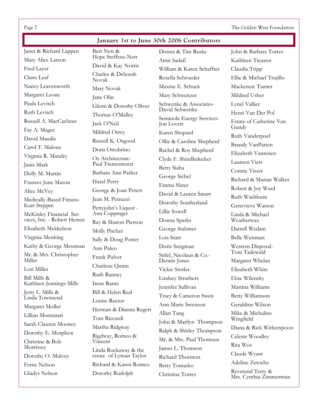Page 7 The Golden West Foundation

## **January 1st to June 30th 2006 Contributors**

Janet & Richard Lappen Mary Alice Larson Fred Layer Claire Leaf Nancy Leavenworth Margaret Leone Paula Levitch Ruth Levitch Russell A. MacCachran Fay A. Magee David Mandis Carol T. Malone Virginia R. Mandry Janis Mark Dolly M. Martin Frances June Mason Alice McVey Medically-Based Fitness-Kurt Steppin McKinley Financial Services, Inc. - Robert Herren Elizabeth Mekkelson Virginia Menking Kathy & George Messman Mr. & Mrs. Christopher Miller Lori Miller Bill Mills & Kathleen Jennings-Mills Jerry L. Mills & Linda Townsend Margaret Moller Lillian Montanari Sarah Clausen Mooney Dorothy E. Morphew Christine & Bob Morrissey Dorothy O. Mulvey Ferne Nelson Gladys Nelson

Bert Nett & Hope Steffens-Nett David & Kay Norris Charles & Deborah Novak Mary Novak Jane Olin Glenn & Dorothy Oliver Thomas O'Malley Jack O'Neil Mildred Orrey Russell K. Osgood Doris Ottobrino Oz Architecture-Paul Tremontozzi Barbara Ann Parker Hazel Perry George & Joan Peters Jean M. Petruzzi Pettyjohn's Liquor - Ann Coppinger Ray & Sharon Pierson Molly Pitcher Sally & Doug Porter Ann Puleo Frank Pulver Charlene Quinn Ruth Ranney Irene Rantz Bill & Helen Real Louise Rector Herman & Dianna Regert Tom Riccardi Martha Ridgway Rigdway, Romeo & Vincent Linda Rockaway & the estate of Lyman Taylor Richard & Karen Romeo Dorothy Rudolph

Donna & Tim Ruske Amir Sadafi William & Karen Schaffter Rosella Schroeder Maxine E. Schuck Mary Schweitzer Schwenke & Associates-David Schwenke Seminole Energy Services-Jon Lovett Karen Shepard Ollie & Caroline Shepherd Rachel & Roy Shepherd Clyde F. Shindledecker Betty Siaba George Sichel Emma Slater David & Lauren Smart Dorothy Southerland Lillie Sowell Donna Sparks George Stahmer Lois Starr Doris Steigman Stifel, Nicolaus & Co.- Dennis Jones Vickie Stotler Lindsey Struthers Jennifer Sullivan Tracy & Cameron Swen Ann-Marie Swenson Allan Tang John & Marilyn Thompson Ralph & Shirley Thompson Mr. & Mrs. Paul Thomsen James L. Thomson Richard Thornton Betty Tomasko Christina Torres

John & Barbara Torres Kathleen Treanor Claudia Tripp Ellie & Michael Trujillo Mackenzie Turner Mildred Usher Lynel Vallier Henri Van Der Pol Estate of Catherine Van Gundy Ruth Vanderpoel Brandy VanPatten Elizabeth Vanrenen Laureen Viets Connie Visser Richard & Marian Walker Robert & Joy Ward Ruth Washburn Genevieve Watson Linda & Michael Weatherwax Darrell Wedam Belle Weisman Western Disposal-Tom Tadewald Margaret Whelan Elizabeth White Elsie Wilensky Martina Williams Betty Williamson Geraldine Wilson Mike & Michaline Wingfield Diana & Rick Witherspoon Celeste Woodley Rita Wos Claude Wyant Adeline Zetocha Reverend Terry & Mrs. Cynthia Zimmerman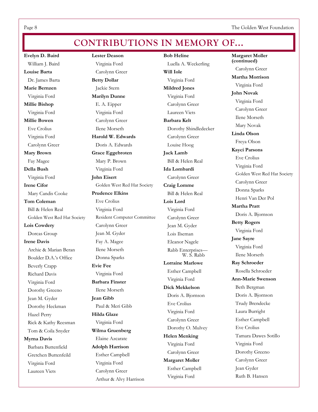Page 8 The Golden West Foundation

# **CONTRIBUTIONS IN MEMORY OF...**

**Evelyn D. Baird**  William J. Baird **Louise Barta** Dr. James Barta **Marie Bernzen** Virginia Ford **Millie Bishop**  Virginia Ford **Millie Bowen**  Eve Crolius Virginia Ford Carolynn Greer **Mary Brown**  Fay Magee **Della Bush**  Virginia Ford **Irene Cifor**  Mary Candis Cooke **Tom Coleman** Bill & Helen Real Golden West Red Hat Society **Lois Cowdery**  Dorcas Group **Irene Davis**  Archie & Marian Beran Boulder D.A.'s Office Beverly Crapp Richard Davis Virginia Ford Dorothy Greeno Jean M. Gyder Dorothy Heckman Hazel Perry Rick & Kathy Reesman Tom & Coila Snyder **Myrna Davis** 

 Barbara Buttenfield Gretchen Buttenfeild Virginia Ford Laureen Viets

**Lester Deason**  Virginia Ford Carolynn Greer **Betty Dollar**  Jackie Stern **Marilyn Dunne**  E. A. Eipper Virginia Ford Carolynn Greer Ilene Morseth **Harold W. Edwards**  Doris A. Edwards **Grace Eggebroten**  Mary P. Brown Virginia Ford **John Eisert**  Golden West Red Hat Society **Prudence Elkins** Eve Crolius Virginia Ford Resident Computer Committee Carolynn Greer Jean M. Gyder Fay A. Magee Ilene Morseth Donna Sparks **Evie Fee**  Virginia Ford **Barbara Finster**  Ilene Morseth **Jean Gibb**  Paul & Meri Gibb **Hilda Glaze**  Virginia Ford **Wilma Gruenberg**  Elaine Azcarate **Adolph Harrison**  Esther Campbell Virginia Ford Carolynn Greer Arthur & Alvy Harrison

**Bob Heline**  Luella A. Weckerling **Will Iole**  Virginia Ford **Mildred Jones**  Virginia Ford Carolynn Greer Laureen Viets **Barbara Kelt**  Dorothy Shindledecker Carolynn Greer Louise Hoog **Jack Lamb**  Bill & Helen Real **Ida Lombardi**  Carolynn Greer **Craig Lomme**  Bill & Helen Real **Lois Lord**  Virginia Ford Carolynn Greer Jean M. Gyder Lois Ilseman Eleanor Nagele Rabb Enterprises— W. S. Rabb **Lorraine Marlowe**  Esther Campbell Virginia Ford **Dick Mekkelson**  Doris A. Bjornson Eve Crolius Virginia Ford Carolynn Greer Dorothy O. Mulvey **Helen Menking**  Virginia Ford Carolynn Greer **Margaret Moller**  Esther Campbell Virginia Ford

**Margaret Moller (continued)** Carolynn Greer **Martha Morrison**  Virginia Ford **John Novak**  Virginia Ford Carolynn Greer Ilene Morseth Mary Novak **Linda Olson**  Freya Olson **Kayci Parsons**  Eve Crolius Virginia Ford Golden West Red Hat Society Carolynn Greer Donna Sparks Henri Van Der Pol **Martha Pratt**  Doris A. Bjornson **Betty Rogers**  Virginia Ford **Jane Sayre**  Virginia Ford Ilene Morseth **Ray Schroeder**  Rosella Schroeder **Ann-Marie Swenson**  Beth Bergman Doris A. Bjornson Trudy Brendecke Laura Burright Esther Campbell Eve Crolius Tamara Dawes Sotillo Virginia Ford Dorothy Greeno Carolynn Greer Jean Gyder Ruth B. Hansen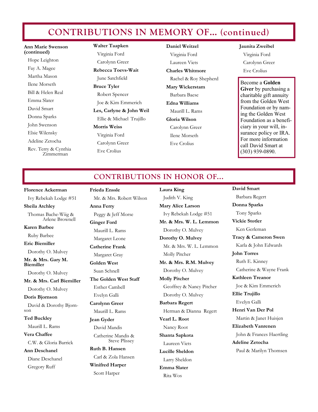# **CONTRIBUTIONS IN MEMORY OF… (continued)**

**Ann Marie Swenson (continued)** Hope Leighton Fay A. Magee Martha Mason Ilene Morseth Bill & Helen Real Emma Slater David Smart Donna Sparks John Swenson Elsie Wilensky Adeline Zetocha Rev. Terry & Cynthia Zimmerman

**Walter Taapken**  Virginia Ford Carolynn Greer **Rebecca Toevs-Wait** 

 June Satchfield **Bruce Tyler**  Robert Spencer Joe & Kim Emmerich **Les, Carlyne & John Weil**  Ellie & Michael Trujillo **Morris Weiss**  Virginia Ford Carolynn Greer Eve Crolius

**Daniel Weitzel**  Virginia Ford Laureen Viets **Charles Whitmore**  Rachel & Roy Shepherd **Mary Wickerstam**  Barbara Baese **Edna Williams**  Maurill L. Rams **Gloria Wilson**  Carolynn Greer Ilene Morseth Eve Crolius

#### **Jaunita Zweibel**

 Virginia Ford Carolynn Greer Eve Crolius

#### Become a **Golden**

**Giver** by purchasing a charitable gift annuity from the Golden West Foundation or by naming the Golden West Foundation as a beneficiary in your will, insurance policy or IRA. For more information call David Smart at (303) 939-0890.

# **CONTRIBUTIONS IN HONOR OF...**

#### **Florence Ackerman**

Ivy Rebekah Lodge #51

**Sheila Atchley** Thomas Bache-Wiig & Arlene Brownell

**Karen Barbee** Ruby Barbee

**Eric Biemiller** 

Dorothy O. Mulvey

**Mr. & Mrs. Gary M. Biemiller** 

Dorothy O. Mulvey **Mr. & Mrs. Carl Biemiller** 

Dorothy O. Mulvey

**Doris Bjornson** 

 David & Dorothy Bjornson

**Ted Buckley** 

Maurill L. Rams

**Vera Chaffee** C.W. & Gloria Barrick **Ann Deschanel** 

Diane Deschanel Gregory Ruff

**Frieda Enssle** 

 Mr. & Mrs. Robert Wilson **Anna Ferry**  Peggy & Jeff Morse **Ginger Ford**  Maurill L. Rams Margaret Leone **Catherine Frank** Margaret Gray **Golden West**  Suan Schnell **The Golden West Staff** Esther Cambell Evelyn Galli **Carolynn Greer**  Maurill L. Rams **Jean Gyder** David Mandis Catherine Mandis & Steve Plissey **Ruth B. Hansen** 

Carl & Zola Hansen **Winifred Harper** 

Scott Harper

**Laura King**  Judith V. King **Mary Alice Larson**  Ivy Rebekah Lodge #51 **Mr. & Mrs. W. L. Lemmon**  Dorothy O. Mulvey **Dorothy O. Mulvey**  Mr. & Mrs. W. L. Lemmon Molly Pitcher **Mr. & Mrs. R.M. Mulvey**  Dorothy O. Mulvey **Molly Pitcher**  Geoffrey & Nancy Pitcher Dorothy O. Mulvey **Barbara Regert** Herman & Dianna Regert **Vearl L. Root**  Nancy Root **Shanta Sapkota** Laureen Viets **Lucille Sheldon**  Larry Sheldon

**Emma Slater** Rita Wos

**David Smart** Barbara Regert **Donna Sparks**  Tony Sparks **Vickie Stotler**  Ken Gerleman **Tracy & Cameron Swen**  Karla & John Edwards **John Torres** Ruth E. Kinney Catherine & Wayne Frank **Kathleen Treanor**  Joe & Kim Emmerich **Ellie Trujillo**  Evelyn Galli **Henri Van Der Pol**  Martin & Janet Huisjen **Elizabeth Vanrenen**  John & Frances Haertling **Adeline Zetocha**  Paul & Marilyn Thomsen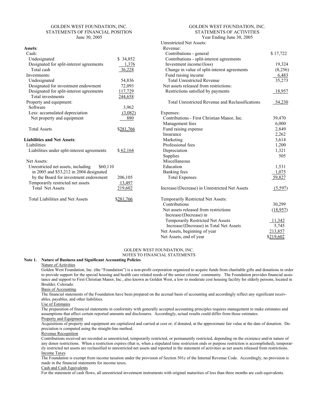#### GOLDEN WEST FOUNDATION, INC. STATEMENTS OF FINANCIAL POSITION June 30, 2005

#### **Assets**:

| Cash:                                          |                  |
|------------------------------------------------|------------------|
| Undesignated                                   | \$34,852         |
| Designated for split-interest agreements       | 1,376            |
| Total cash                                     | 36,228           |
| Investments:                                   |                  |
| Undesignated                                   | 54,836           |
| Designated for investment endowment            | 72,093           |
| Designated for split-interest agreements       | 117,729          |
| Total investments                              | 244,658          |
| Property and equipment:                        |                  |
| Software                                       | 3,962            |
| Less: accumulated depreciation                 | (3,082)          |
| Net property and equipment                     | 880              |
|                                                |                  |
| <b>Total Assets</b>                            | \$281,766        |
|                                                |                  |
| <b>Liabilities and Net Assets:</b>             |                  |
| Liabilities:                                   |                  |
| Liabilities under split-interest agreements    | \$62,164         |
|                                                |                  |
| Net Assets:                                    |                  |
| Unrestricted net assets, including<br>\$60,110 |                  |
| in 2005 and \$53,212 in 2004 designated        |                  |
| by the Board for investment endowment          | 206,105          |
| Temporarily restricted net assets              | 13,497           |
| <b>Total Net Assets</b>                        | <u>219,602</u>   |
|                                                |                  |
| Total Liabilities and Net Assets               | <u>\$281,766</u> |
|                                                |                  |
|                                                |                  |

#### GOLDEN WEST FOUNDATION, INC. STATEMENTS OF ACTIVITIES Year Ending June 30, 2005

| <b>Unrestricted Net Assets:</b>                  |           |
|--------------------------------------------------|-----------|
| Revenue:                                         |           |
| Contributions - general                          | \$17,722  |
| Contributions - split-interest agreements        |           |
| Investment income/(loss)                         | 19,324    |
| Change in value of split-interest agreements     | (8,256)   |
| Fund raising income                              | 6,483     |
| <b>Total Unrestricted Revenue</b>                | 35,273    |
| Net assets released from restrictions:           |           |
| Restrictions satisfied by payments               | 18,957    |
| Total Unrestricted Revenue and Reclassifications | 54,230    |
| Expenses:                                        |           |
| Contributions - First Christian Manor, Inc.      | 39,470    |
| Management fees                                  | 6,000     |
| Fund raising expense                             | 2,849     |
| Insurance                                        | 2,262     |
| Marketing                                        | 3,614     |
| Professional fees                                | 1,200     |
| Depreciation                                     | 1,321     |
| Supplies                                         | 505       |
| Miscellaneous                                    |           |
| Education                                        | 1,531     |
| Banking fees                                     | 1,075     |
| <b>Total Expenses</b>                            | 59,827    |
| Increase/(Decrease) in Unrestricted Net Assets   | (5,597)   |
| Temporarily Restricted Net Assets:               |           |
| Contributions                                    | 30,299    |
| Net assets released from restrictions            | (18, 957) |
| Increase/(Decrease) in                           |           |
| <b>Temporarily Restricted Net Assets</b>         | 11,342    |
| Increase/(Decrease) in Total Net Assets          | 5,745     |
| Net Assets, beginning of year                    | 213,857   |
| Net Assets, end of year                          | \$219,602 |

## GOLDEN WEST FOUNDATION, INC.

#### NOTES TO FINANCIAL STATEMENTS

### **Note 1. Nature of Business and Significant Accounting Policies**

Nature of Activities

Golden West Foundation, Inc. (the "Foundation") is a non-profit corporation organized to acquire funds from charitable gifts and donations in order to provide support for the special housing and health care related needs of the senior citizens' community. The Foundation provides financial assistance and support to First Christian Manor, Inc., also known as Golden West, a low to moderate cost housing facility for elderly persons, located in Boulder, Colorado.

Basis of Accounting

The financial statements of the Foundation have been prepared on the accrual basis of accounting and accordingly reflect any significant receivables, payables, and other liabilities.

#### Use of Estimates

The preparation of financial statements in conformity with generally accepted accounting principles requires management to make estimates and assumptions that affect certain reported amounts and disclosures. Accordingly, actual results could differ from those estimates. Property and Equipment

Acquisitions of property and equipment are capitalized and carried at cost or, if donated, at the approximate fair value at the date of donation. Depreciation is computed using the straight-line method.

Revenue Recognition

Contributions received are recorded as unrestricted, temporarily restricted, or permanently restricted, depending on the existence and/or nature of any donor restrictions. When a restriction expires (that is, when a stipulated time restriction ends or purpose restriction is accomplished), temporarily restricted net assets are reclassified to unrestricted net assets and reported in the statement of activities as net assets released from restrictions. Income Taxes

The Foundation is exempt from income taxation under the provision of Section 501c of the Internal Revenue Code. Accordingly, no provision is made in the financial statements for income taxes.

Cash and Cash Equivalents

For the statement of cash flows, all unrestricted investment instruments with original maturities of less than three months are cash equivalents.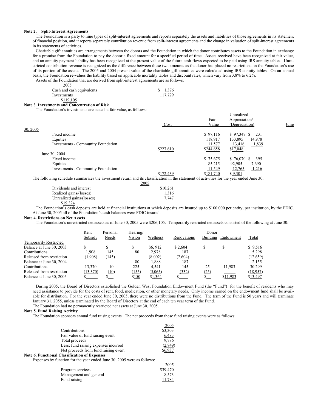#### **Note 2. Split-Interest Agreements**

 The Foundation is a party to nine types of split-interest agreements and reports separately the assets and liabilities of those agreements in its statement of financial position, and it reports separately contribution revenue from split-interest agreements and the change in valuation of split-interest agreements in its statements of activities.

 Charitable gift annuities are arrangements between the donors and the Foundation in which the donor contributes assets to the Foundation in exchange for a promise from the Foundation to pay the donor a fixed amount for a specified period of time. Assets received have been recognized at fair value, and an annuity payment liability has been recognized at the present value of the future cash flows expected to be paid using IRS annuity tables. Unrestricted contribution revenue is recognized as the difference between these two amounts as the donor has placed no restrictions on the Foundation's use of its portion of the assets. The 2005 and 2004 present value of the charitable gift annuities were calculated using IRS annuity tables. On an annual basis, the Foundation re-values the liability based on applicable mortality tables and discount rates, which vary from 3.8% to 6.2%. Assets of the Foundation that are derived from split-interest agreements are as follows:

2005

| Cash and cash equivalents | \$1,376 |
|---------------------------|---------|
| Investments               | 117.729 |
| \$119.105                 |         |

#### **Note 3. Investments and Concentration of Risk**

 $30, 2$ 

The Foundation's investments are stated at fair value, as follows:

|                                                                                                                                             |           | Fair      | Unrealized<br>Appreciation/ |             |
|---------------------------------------------------------------------------------------------------------------------------------------------|-----------|-----------|-----------------------------|-------------|
|                                                                                                                                             | Cost      | Value     | (Depreciation)              | <u>June</u> |
| 30, 2005                                                                                                                                    |           |           |                             |             |
| Fixed income                                                                                                                                |           | \$97,116  | $$97,347$ \$<br>231         |             |
| Equities                                                                                                                                    |           | 118.917   | 14,978<br>133,895           |             |
| <b>Investments - Community Foundation</b>                                                                                                   |           | 11,577    | 13,416<br>1,839             |             |
|                                                                                                                                             | \$227,610 | \$244,658 | \$17,048                    |             |
| June 30, 2004                                                                                                                               |           |           |                             |             |
| Fixed income                                                                                                                                |           | \$75,675  | $$76,070$ \$<br>395         |             |
| Equities                                                                                                                                    |           | 85.215    | 92.905<br>7,690             |             |
| <b>Investments - Community Foundation</b>                                                                                                   |           | 11,549    | 12,765<br>1,216             |             |
|                                                                                                                                             | \$172,439 | \$181,740 | \$9,301                     |             |
| The following schedule summarizes the investment return and its classification in the statement of activities for the year ended June $301$ |           |           |                             |             |

The following schedule summarizes the investment return and its classification in the statement of activities for the year ended June 30:

|                           | 2005     |
|---------------------------|----------|
| Dividends and interest    | \$10.261 |
| Realized gains/(losses)   | 1.316    |
| Unrealized gains/(losses) | 7,747    |
| \$19.324                  |          |

 The Foundation's cash deposits are held at financial institutions at which deposits are insured up to \$100,000 per entity, per institution, by the FDIC. At June 30, 2005 all of the Foundation's cash balances were FDIC insured.

#### **Note 4. Restrictions on Net Assets**

The Foundation's unrestricted net assets as of June 30, 2005 were \$206,105. Temporarily restricted net assets consisted of the following at June 30:

|                               | Rent<br>Subsidy | Personal<br>Needs | Hearing/<br>Vision | Wellness | Renovations | Donor<br><b>Building</b> | Endowment | Total     |
|-------------------------------|-----------------|-------------------|--------------------|----------|-------------|--------------------------|-----------|-----------|
| <b>Temporarily Restricted</b> |                 |                   |                    |          |             |                          |           |           |
| Balance at June 30, 2003      |                 |                   |                    | \$6,912  | \$2.604     |                          |           | \$9,516   |
| Contributions                 | 1.908           | 145               | 80                 | 2,978    | 187         |                          |           | 5.298     |
| Released from restriction     | (1,908)         | (145)             |                    | (8,002)  | (2,604)     |                          |           | (12, 659) |
| Balance at June 30, 2004      |                 |                   | 80                 | 1.888    | 187         |                          |           | 2.155     |
| Contributions                 | 13.370          | 10                | 225                | 4.541    | 145         | 25                       | 11.983    | 30,299    |
| Released from restriction     | (13, 370)       | (10)              | (155)              | (5,065)  | (332)       | (25)                     |           | (18,957)  |
| Balance at June 30, 2005      |                 |                   | \$150              | \$1,364  |             |                          | \$11,983  | \$13,497  |

 During 2005, the Board of Directors established the Golden West Foundation Endowment Fund (the "Fund") for the benefit of residents who may need assistance to provide for the costs of rent, food, medication, or other monetary needs. Only income earned on the endowment fund shall be available for distribution. For the year ended June 30, 2005, there were no distributions from the Fund. The term of the Fund is 50 years and will terminate January 31, 2055, unless terminated by the Board of Directors at the end of each ten year term of the Fund. The Foundation had no permanently restricted net assets at June 30, 2005.

#### **Note 5. Fund Raising Activity**

The Foundation sponsors annual fund raising events. The net proceeds from these fund raising events were as follows:

|                                                                        | 2005     |
|------------------------------------------------------------------------|----------|
| Contributions                                                          | \$3,303  |
| Fair value of fund raising event                                       | 6,483    |
| Total proceeds                                                         | 9,786    |
| Less: fund raising expenses incurred                                   | (2, 849) |
| Net proceeds from fund raising event                                   | \$6.937  |
| <b>Note 6. Functional Classification of Expenses</b>                   |          |
| Expenses by function for the year ended June 30, 2005 were as follows: |          |
|                                                                        | 2005     |

|                        | -----    |
|------------------------|----------|
| Program services       | \$39,470 |
| Management and general | 8.573    |
| Fund raising           | 11,784   |